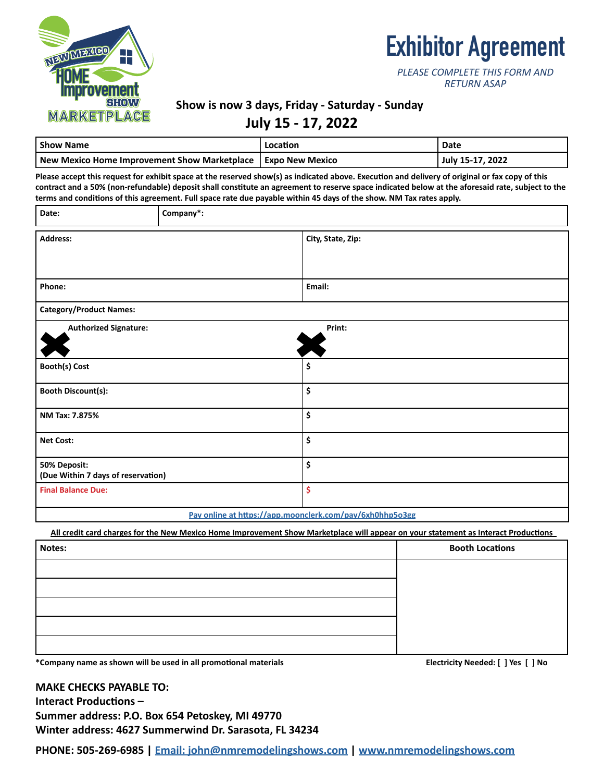

# **Exhibitor Agreement**

| PLEASE COMPLETE THIS FORM AND |
|-------------------------------|
| <b>RETURN ASAP</b>            |

### **Show is now 3 days, Friday - Saturday - Sunday**

## **July 15 - 17, 2022**

| <b>Show Name</b>                                               | Location | Date             |
|----------------------------------------------------------------|----------|------------------|
| New Mexico Home Improvement Show Marketplace   Expo New Mexico |          | July 15-17, 2022 |

**Please accept this request for exhibit space at the reserved show(s) as indicated above. Execution and delivery of original or fax copy of this contract and a 50% (non-refundable) deposit shall constitute an agreement to reserve space indicated below at the aforesaid rate, subject to the terms and conditions of this agreement. Full space rate due payable within 45 days of the show. NM Tax rates apply.**

| Date:                                              | Company*: |                   |
|----------------------------------------------------|-----------|-------------------|
| <b>Address:</b>                                    |           | City, State, Zip: |
| Phone:                                             |           | Email:            |
| <b>Category/Product Names:</b>                     |           |                   |
| <b>Authorized Signature:</b>                       |           | Print:            |
| <b>Booth(s) Cost</b>                               |           | \$                |
| <b>Booth Discount(s):</b>                          |           | \$                |
| NM Tax: 7.875%                                     |           | \$                |
| <b>Net Cost:</b>                                   |           | \$                |
| 50% Deposit:<br>(Due Within 7 days of reservation) |           | \$                |
| <b>Final Balance Due:</b>                          |           | \$                |
|                                                    |           |                   |

#### **[Pay online at https://app.moonclerk.com/pay/6xh0hhp5o3gg](https://app.moonclerk.com/pay/6xh0hhp5o3gg)**

**All credit card charges for the New Mexico Home Improvement Show Marketplace will appear on your statement as Interact Productions** 

| Notes: | <b>Booth Locations</b> |
|--------|------------------------|
|        |                        |
|        |                        |
|        |                        |
|        |                        |
|        |                        |

**\*Company name as shown will be used in all promotional materials Electricity Needed: [ ] Yes [ ] No**

**MAKE CHECKS PAYABLE TO: Interact Productions – Summer address: P.O. Box 654 Petoskey, MI 49770 Winter address: 4627 Summerwind Dr. Sarasota, FL 34234**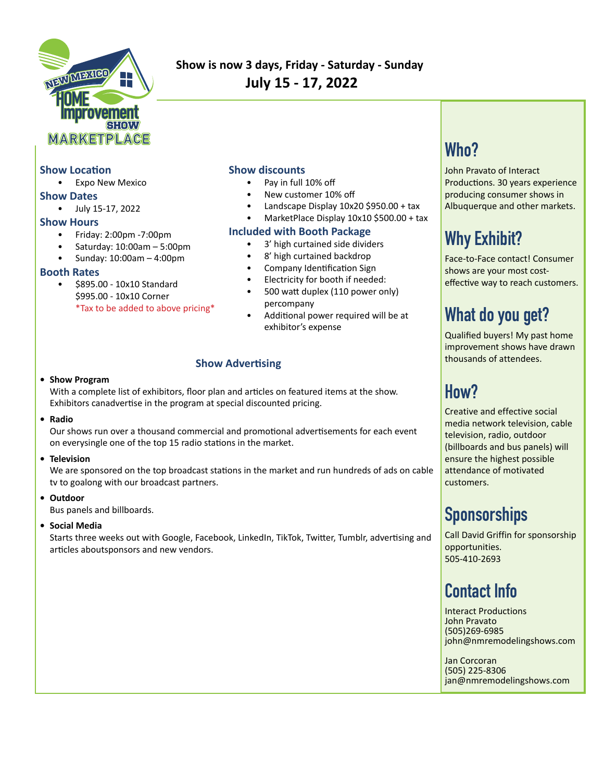

## **Show is now 3 days, Friday - Saturday - Sunday July 15 - 17, 2022**

### **Show Location**

• Expo New Mexico

#### **Show Dates**

• July 15-17, 2022

### **Show Hours**

- Friday: 2:00pm -7:00pm
- Saturday: 10:00am 5:00pm
- Sunday: 10:00am 4:00pm

#### **Booth Rates**

• \$895.00 - 10x10 Standard \$995.00 - 10x10 Corner \*Tax to be added to above pricing\*

### **Show discounts**

- Pay in full 10% off
- New customer 10% off
- Landscape Display 10x20 \$950.00 + tax
- MarketPlace Display 10x10 \$500.00 + tax

### **Included with Booth Package**

- 3' high curtained side dividers
- 8' high curtained backdrop
- Company Identification Sign
- Electricity for booth if needed:
- 500 watt duplex (110 power only) percompany
- Additional power required will be at exhibitor's expense

### **Show Advertising**

#### **• Show Program**

With a complete list of exhibitors, floor plan and articles on featured items at the show. Exhibitors canadvertise in the program at special discounted pricing.

#### **• Radio**

Our shows run over a thousand commercial and promotional advertisements for each event on everysingle one of the top 15 radio stations in the market.

#### **• Television**

We are sponsored on the top broadcast stations in the market and run hundreds of ads on cable tv to goalong with our broadcast partners.

#### **• Outdoor**

Bus panels and billboards.

### **• Social Media**

Starts three weeks out with Google, Facebook, LinkedIn, TikTok, Twitter, Tumblr, advertising and articles aboutsponsors and new vendors.

## **Who?**

John Pravato of Interact Productions. 30 years experience producing consumer shows in Albuquerque and other markets.

## **Why Exhibit?**

Face-to-Face contact! Consumer shows are your most costeffective way to reach customers.

## **What do you get?**

Qualified buyers! My past home improvement shows have drawn thousands of attendees.

## **How?**

Creative and effective social media network television, cable television, radio, outdoor (billboards and bus panels) will ensure the highest possible attendance of motivated customers.

## **Sponsorships**

Call David Griffin for sponsorship opportunities. 505-410-2693

## **Contact Info**

Interact Productions John Pravato (505)269-6985 john@nmremodelingshows.com

Jan Corcoran (505) 225-8306 jan@nmremodelingshows.com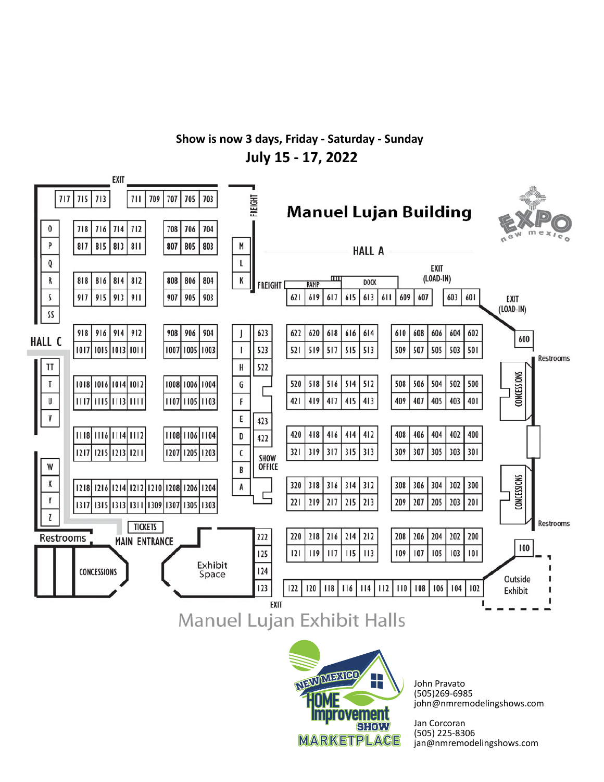## **Show is now 3 days, Friday - Saturday - Sunday July 15 - 17, 2022**





John Pravato (505)269-6985 john@nmremodelingshows.com

Jan Corcoran (505) 225-8306 jan@nmremodelingshows.com